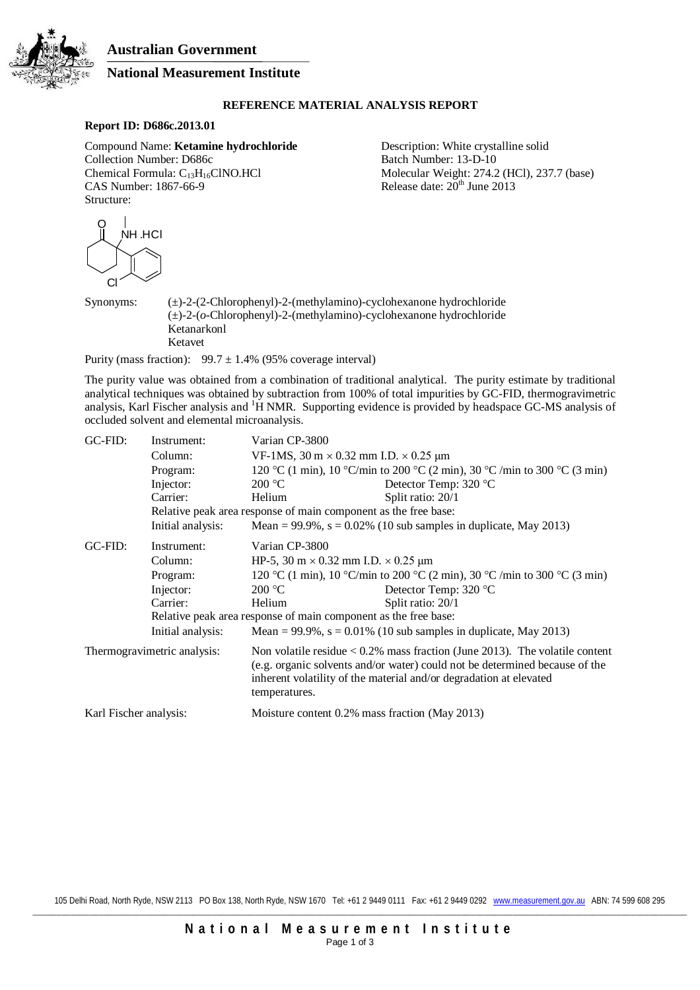**Australian Government**



# **National Measurement Institute**

## **REFERENCE MATERIAL ANALYSIS REPORT**

# **Report ID: D686c.2013.01**

Compound Name: **Ketamine hydrochloride** Description: White crystalline solid Collection Number: D686c Batch Number: 13-D-10 Collection Number: D686c<br>Chemical Formula:  $C_{13}H_{16}CNO.HCl$ Chemical Formula:  $C_{13}H_{16}C}N$ O.HCl Molecular Weight: 274.2 (HCl), 237.7 (base)<br>CAS Number: 1867-66-9 Release date:  $20^{th}$  June 2013 Structure:

Release date:  $20<sup>th</sup>$  June 2013



Synonyms: (±)-2-(2-Chlorophenyl)-2-(methylamino)-cyclohexanone hydrochloride (±)-2-(*o*-Chlorophenyl)-2-(methylamino)-cyclohexanone hydrochloride Ketanarkonl Ketavet

Purity (mass fraction):  $99.7 \pm 1.4\%$  (95% coverage interval)

The purity value was obtained from a combination of traditional analytical. The purity estimate by traditional analytical techniques was obtained by subtraction from 100% of total impurities by GC-FID, thermogravimetric analysis, Karl Fischer analysis and <sup>1</sup>H NMR. Supporting evidence is provided by headspace GC-MS analysis of occluded solvent and elemental microanalysis.

| GC-FID:                     | Instrument:                                                     | Varian CP-3800                                                                                                                                                                                                                                       |                                                                     |  |
|-----------------------------|-----------------------------------------------------------------|------------------------------------------------------------------------------------------------------------------------------------------------------------------------------------------------------------------------------------------------------|---------------------------------------------------------------------|--|
|                             | Column:                                                         | VF-1MS, $30 \text{ m} \times 0.32 \text{ mm}$ I.D. $\times 0.25 \text{ µm}$                                                                                                                                                                          |                                                                     |  |
|                             | Program:                                                        | 120 °C (1 min), 10 °C/min to 200 °C (2 min), 30 °C /min to 300 °C (3 min)                                                                                                                                                                            |                                                                     |  |
|                             | Injector:                                                       | 200 °C                                                                                                                                                                                                                                               | Detector Temp: 320 °C                                               |  |
|                             | Carrier:                                                        | Helium                                                                                                                                                                                                                                               | Split ratio: 20/1                                                   |  |
|                             | Relative peak area response of main component as the free base: |                                                                                                                                                                                                                                                      |                                                                     |  |
|                             | Initial analysis:                                               |                                                                                                                                                                                                                                                      | Mean = $99.9\%$ , s = 0.02% (10 sub samples in duplicate, May 2013) |  |
| GC-FID:                     | Instrument:                                                     | Varian CP-3800                                                                                                                                                                                                                                       |                                                                     |  |
|                             | Column:                                                         | HP-5, 30 m $\times$ 0.32 mm I.D. $\times$ 0.25 µm                                                                                                                                                                                                    |                                                                     |  |
|                             | Program:                                                        | 120 °C (1 min), 10 °C/min to 200 °C (2 min), 30 °C /min to 300 °C (3 min)                                                                                                                                                                            |                                                                     |  |
|                             | Injector:                                                       | 200 °C                                                                                                                                                                                                                                               | Detector Temp: 320 °C                                               |  |
|                             | Carrier:                                                        | Helium                                                                                                                                                                                                                                               | Split ratio: 20/1                                                   |  |
|                             |                                                                 | Relative peak area response of main component as the free base:                                                                                                                                                                                      |                                                                     |  |
|                             | Initial analysis:                                               |                                                                                                                                                                                                                                                      | Mean = 99.9%, $s = 0.01\%$ (10 sub samples in duplicate, May 2013)  |  |
| Thermogravimetric analysis: |                                                                 | Non volatile residue $< 0.2\%$ mass fraction (June 2013). The volatile content<br>(e.g. organic solvents and/or water) could not be determined because of the<br>inherent volatility of the material and/or degradation at elevated<br>temperatures. |                                                                     |  |
| Karl Fischer analysis:      |                                                                 | Moisture content 0.2% mass fraction (May 2013)                                                                                                                                                                                                       |                                                                     |  |

105 Delhi Road, North Ryde, NSW 2113 PO Box 138, North Ryde, NSW 1670 Tel: +61 2 9449 0111 Fax: +61 2 9449 0292 www.measurement.gov.au ABN: 74 599 608 295 \_\_\_\_\_\_\_\_\_\_\_\_\_\_\_\_\_\_\_\_\_\_\_\_\_\_\_\_\_\_\_\_\_\_\_\_\_\_\_\_\_\_\_\_\_\_\_\_\_\_\_\_\_\_\_\_\_\_\_\_\_\_\_\_\_\_\_\_\_\_\_\_\_\_\_\_\_\_\_\_\_\_\_\_\_\_\_\_\_\_\_\_\_\_\_\_\_\_\_\_\_\_\_\_\_\_\_\_\_\_\_\_\_\_\_\_\_\_\_\_\_\_\_\_\_\_\_\_\_\_\_\_\_\_\_\_\_\_\_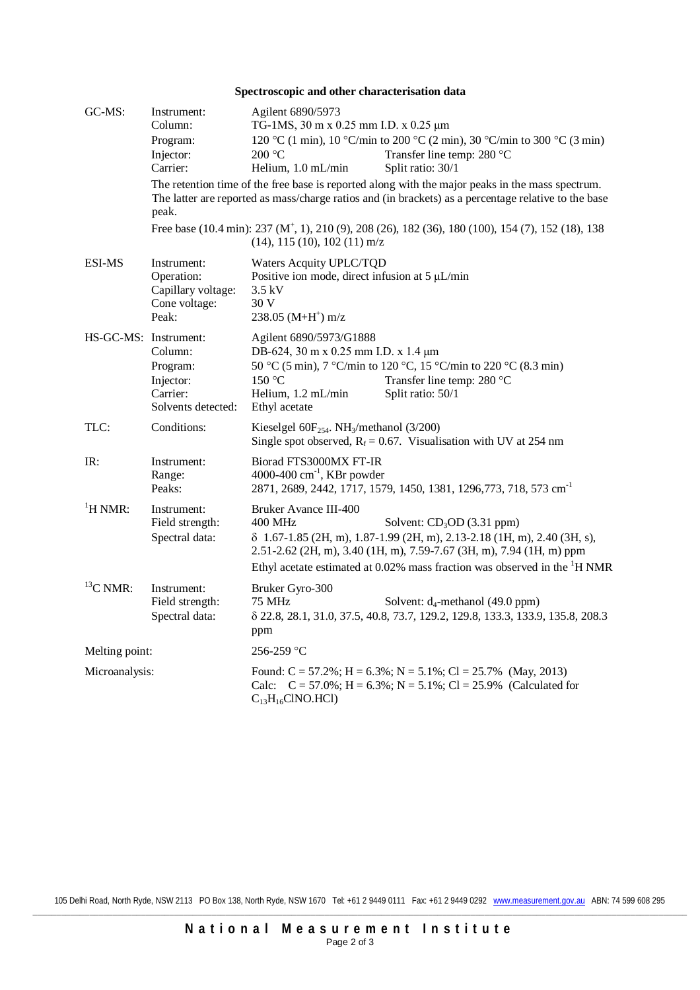| Spectroscopic and other characterisation data |                                                                                                                                                                                                                                                                                                                                                                             |                                                                                                                                                                                                                                                                                                          |  |  |
|-----------------------------------------------|-----------------------------------------------------------------------------------------------------------------------------------------------------------------------------------------------------------------------------------------------------------------------------------------------------------------------------------------------------------------------------|----------------------------------------------------------------------------------------------------------------------------------------------------------------------------------------------------------------------------------------------------------------------------------------------------------|--|--|
| GC-MS:                                        | Instrument:<br>Column:<br>Program:<br>Injector:<br>Carrier:                                                                                                                                                                                                                                                                                                                 | Agilent 6890/5973<br>TG-1MS, 30 m x 0.25 mm I.D. x 0.25 μm<br>120 °C (1 min), 10 °C/min to 200 °C (2 min), 30 °C/min to 300 °C (3 min)<br>200 °C<br>Transfer line temp: 280 °C<br>Helium, 1.0 mL/min<br>Split ratio: 30/1                                                                                |  |  |
|                                               | The retention time of the free base is reported along with the major peaks in the mass spectrum.<br>The latter are reported as mass/charge ratios and (in brackets) as a percentage relative to the base<br>peak.<br>Free base (10.4 min): 237 (M <sup>+</sup> , 1), 210 (9), 208 (26), 182 (36), 180 (100), 154 (7), 152 (18), 138<br>$(14)$ , 115 $(10)$ , 102 $(11)$ m/z |                                                                                                                                                                                                                                                                                                          |  |  |
| <b>ESI-MS</b>                                 | Instrument:<br>Operation:<br>Capillary voltage:<br>Cone voltage:<br>Peak:                                                                                                                                                                                                                                                                                                   | Waters Acquity UPLC/TQD<br>Positive ion mode, direct infusion at $5 \mu L/min$<br>$3.5$ kV<br>30 V<br>$238.05$ (M+H <sup>+</sup> ) m/z                                                                                                                                                                   |  |  |
| HS-GC-MS: Instrument:                         | Column:<br>Program:<br>Injector:<br>Carrier:<br>Solvents detected:                                                                                                                                                                                                                                                                                                          | Agilent 6890/5973/G1888<br>DB-624, 30 m x 0.25 mm I.D. x 1.4 μm<br>50 °C (5 min), 7 °C/min to 120 °C, 15 °C/min to 220 °C (8.3 min)<br>150 °C<br>Transfer line temp: 280 °C<br>Helium, 1.2 mL/min<br>Split ratio: 50/1<br>Ethyl acetate                                                                  |  |  |
| TLC:                                          | Conditions:                                                                                                                                                                                                                                                                                                                                                                 | Kieselgel $60F_{254}$ . NH <sub>3</sub> /methanol (3/200)<br>Single spot observed, $R_f = 0.67$ . Visualisation with UV at 254 nm                                                                                                                                                                        |  |  |
| IR:                                           | Instrument:<br>Range:<br>Peaks:                                                                                                                                                                                                                                                                                                                                             | Biorad FTS3000MX FT-IR<br>4000-400 $\text{cm}^{-1}$ , KBr powder<br>2871, 2689, 2442, 1717, 1579, 1450, 1381, 1296, 773, 718, 573 cm <sup>-1</sup>                                                                                                                                                       |  |  |
| $\mathrm{^1H}$ NMR:                           | Instrument:<br>Field strength:<br>Spectral data:                                                                                                                                                                                                                                                                                                                            | Bruker Avance III-400<br>400 MHz<br>Solvent: $CD3OD$ (3.31 ppm)<br>δ 1.67-1.85 (2H, m), 1.87-1.99 (2H, m), 2.13-2.18 (1H, m), 2.40 (3H, s),<br>2.51-2.62 (2H, m), 3.40 (1H, m), 7.59-7.67 (3H, m), 7.94 (1H, m) ppm<br>Ethyl acetate estimated at 0.02% mass fraction was observed in the ${}^{1}$ H NMR |  |  |
| ${}^{13}C$ NMR:                               | Instrument:<br>Field strength:<br>Spectral data:                                                                                                                                                                                                                                                                                                                            | Bruker Gyro-300<br>75 MHz<br>Solvent: $d_4$ -methanol (49.0 ppm)<br>8 22.8, 28.1, 31.0, 37.5, 40.8, 73.7, 129.2, 129.8, 133.3, 133.9, 135.8, 208.3<br>ppm                                                                                                                                                |  |  |
| Melting point:                                |                                                                                                                                                                                                                                                                                                                                                                             | 256-259 °C                                                                                                                                                                                                                                                                                               |  |  |
| Microanalysis:                                |                                                                                                                                                                                                                                                                                                                                                                             | Found: $C = 57.2\%$ ; H = 6.3%; N = 5.1%; Cl = 25.7% (May, 2013)<br>Calc: $C = 57.0\%$ ; H = 6.3%; N = 5.1%; Cl = 25.9% (Calculated for<br>$C_{13}H_{16}CINO.HCl$                                                                                                                                        |  |  |

105 Delhi Road, North Ryde, NSW 2113 PO Box 138, North Ryde, NSW 1670 Tel: +61 2 9449 0111 Fax: +61 2 9449 0292 www.measurement.gov.au ABN: 74 599 608 295 \_\_\_\_\_\_\_\_\_\_\_\_\_\_\_\_\_\_\_\_\_\_\_\_\_\_\_\_\_\_\_\_\_\_\_\_\_\_\_\_\_\_\_\_\_\_\_\_\_\_\_\_\_\_\_\_\_\_\_\_\_\_\_\_\_\_\_\_\_\_\_\_\_\_\_\_\_\_\_\_\_\_\_\_\_\_\_\_\_\_\_\_\_\_\_\_\_\_\_\_\_\_\_\_\_\_\_\_\_\_\_\_\_\_\_\_\_\_\_\_\_\_\_\_\_\_\_\_\_\_\_\_\_\_\_\_\_\_\_